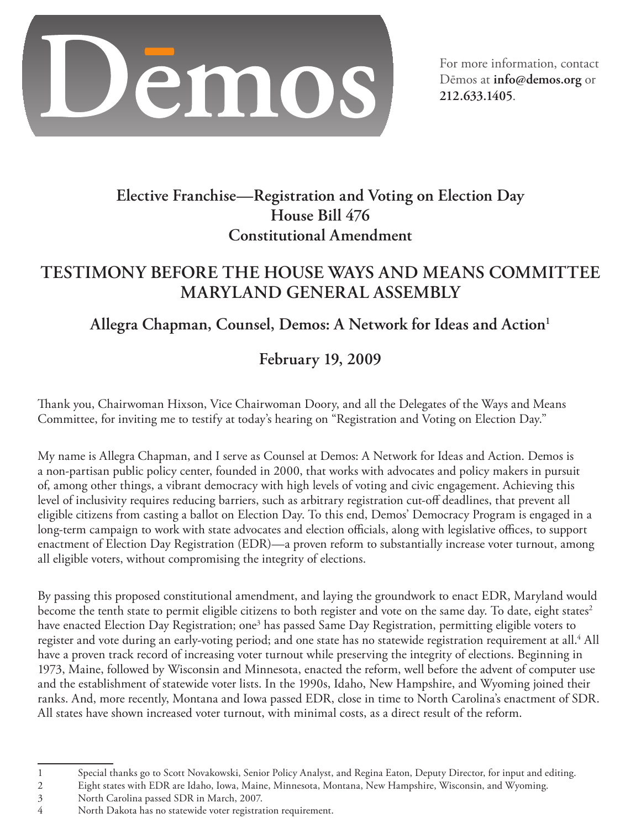

For more information, contact Dēmos at **info@demos.org** or **212.633.1405**.

# **Elective Franchise—Registration and Voting on Election Day House Bill 476 Constitutional Amendment**

## **Testimony before the House Ways and Means Committee Maryland General Assembly**

# Allegra Chapman, Counsel, Demos: A Network for Ideas and Action<sup>1</sup>

# **February 19, 2009**

Thank you, Chairwoman Hixson, Vice Chairwoman Doory, and all the Delegates of the Ways and Means Committee, for inviting me to testify at today's hearing on "Registration and Voting on Election Day."

My name is Allegra Chapman, and I serve as Counsel at Demos: A Network for Ideas and Action. Demos is a non-partisan public policy center, founded in 2000, that works with advocates and policy makers in pursuit of, among other things, a vibrant democracy with high levels of voting and civic engagement. Achieving this level of inclusivity requires reducing barriers, such as arbitrary registration cut-off deadlines, that prevent all eligible citizens from casting a ballot on Election Day. To this end, Demos' Democracy Program is engaged in a long-term campaign to work with state advocates and election officials, along with legislative offices, to support enactment of Election Day Registration (EDR)—a proven reform to substantially increase voter turnout, among all eligible voters, without compromising the integrity of elections.

By passing this proposed constitutional amendment, and laying the groundwork to enact EDR, Maryland would become the tenth state to permit eligible citizens to both register and vote on the same day. To date, eight states<sup>2</sup> have enacted Election Day Registration; one<sup>3</sup> has passed Same Day Registration, permitting eligible voters to register and vote during an early-voting period; and one state has no statewide registration requirement at all. All have a proven track record of increasing voter turnout while preserving the integrity of elections. Beginning in 1973, Maine, followed by Wisconsin and Minnesota, enacted the reform, well before the advent of computer use and the establishment of statewide voter lists. In the 1990s, Idaho, New Hampshire, and Wyoming joined their ranks. And, more recently, Montana and Iowa passed EDR, close in time to North Carolina's enactment of SDR. All states have shown increased voter turnout, with minimal costs, as a direct result of the reform.

 $\mathbf{1}$ Special thanks go to Scott Novakowski, Senior Policy Analyst, and Regina Eaton, Deputy Director, for input and editing.

 $\overline{2}$ Eight states with EDR are Idaho, Iowa, Maine, Minnesota, Montana, New Hampshire, Wisconsin, and Wyoming.

North Carolina passed SDR in March, 2007.

North Dakota has no statewide voter registration requirement.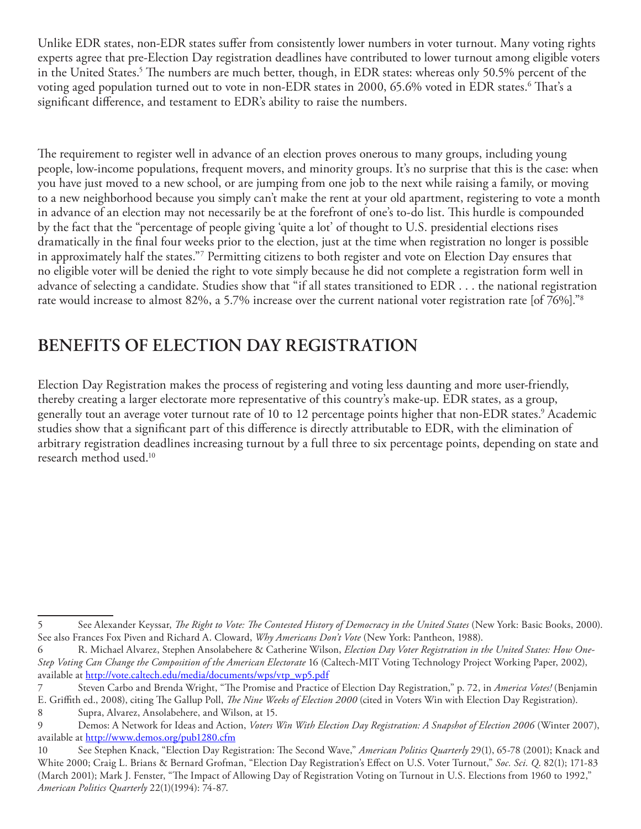Unlike EDR states, non-EDR states suffer from consistently lower numbers in voter turnout. Many voting rights experts agree that pre-Election Day registration deadlines have contributed to lower turnout among eligible voters in the United States.<sup>5</sup> The numbers are much better, though, in EDR states: whereas only 50.5% percent of the voting aged population turned out to vote in non-EDR states in 2000, 65.6% voted in EDR states.<sup>6</sup> That's a significant difference, and testament to EDR's ability to raise the numbers.

The requirement to register well in advance of an election proves onerous to many groups, including young people, low-income populations, frequent movers, and minority groups. It's no surprise that this is the case: when you have just moved to a new school, or are jumping from one job to the next while raising a family, or moving to a new neighborhood because you simply can't make the rent at your old apartment, registering to vote a month in advance of an election may not necessarily be at the forefront of one's to-do list. This hurdle is compounded by the fact that the "percentage of people giving 'quite a lot' of thought to U.S. presidential elections rises dramatically in the final four weeks prior to the election, just at the time when registration no longer is possible in approximately half the states."<sup>7</sup> Permitting citizens to both register and vote on Election Day ensures that no eligible voter will be denied the right to vote simply because he did not complete a registration form well in advance of selecting a candidate. Studies show that "if all states transitioned to EDR . . . the national registration rate would increase to almost 82%, a 5.7% increase over the current national voter registration rate [of 76%]."<sup>8</sup>

# **Benefits of Election Day Registration**

Election Day Registration makes the process of registering and voting less daunting and more user-friendly, thereby creating a larger electorate more representative of this country's make-up. EDR states, as a group, generally tout an average voter turnout rate of 10 to 12 percentage points higher that non-EDR states.<sup>9</sup> Academic studies show that a significant part of this difference is directly attributable to EDR, with the elimination of arbitrary registration deadlines increasing turnout by a full three to six percentage points, depending on state and research method used.10

See Alexander Keyssar, *The Right to Vote: The Contested History of Democracy in the United States* (New York: Basic Books, 2000). See also Frances Fox Piven and Richard A. Cloward, *Why Americans Don't Vote* (New York: Pantheon, 1988).

R. Michael Alvarez, Stephen Ansolabehere & Catherine Wilson, *Election Day Voter Registration in the United States: How One-*6 *Step Voting Can Change the Composition of the American Electorate* 16 (Caltech-MIT Voting Technology Project Working Paper, 2002), available at http://vote.caltech.edu/media/documents/wps/vtp\_wp5.pdf

Steven Carbo and Brenda Wright, "The Promise and Practice of Election Day Registration," p. 72, in *America Votes!* (Benjamin 7 E. Griffith ed., 2008), citing The Gallup Poll, *The Nine Weeks of Election 2000* (cited in Voters Win with Election Day Registration).

<sup>8</sup> Supra, Alvarez, Ansolabehere, and Wilson, at 15.

 $\overline{9}$  Demos: A Network for Ideas and Action, *Voters Win With Election Day Registration: A Snapshot of Election 2006* (Winter 2007), available at http://www.demos.org/pub1280.cfm

<sup>10</sup> See Stephen Knack, "Election Day Registration: The Second Wave," *American Politics Quarterly* 29(1), 65-78 (2001); Knack and White 2000; Craig L. Brians & Bernard Grofman, "Election Day Registration's Effect on U.S. Voter Turnout," *Soc. Sci. Q*. 82(1); 171-83 (March 2001); Mark J. Fenster, "The Impact of Allowing Day of Registration Voting on Turnout in U.S. Elections from 1960 to 1992," *American Politics Quarterly* 22(1)(1994): 74-87.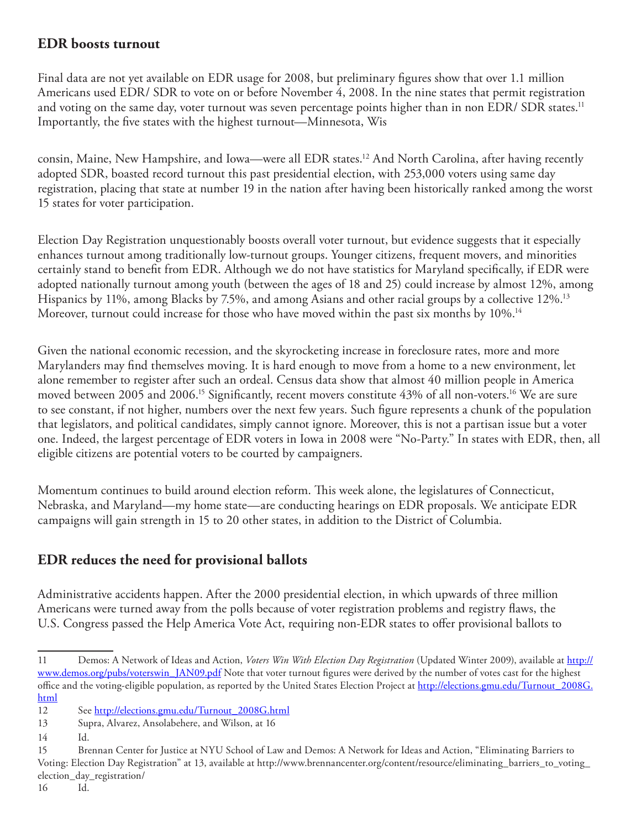### **EDR boosts turnout**

Final data are not yet available on EDR usage for 2008, but preliminary figures show that over 1.1 million Americans used EDR/ SDR to vote on or before November 4, 2008. In the nine states that permit registration and voting on the same day, voter turnout was seven percentage points higher than in non EDR/ SDR states.<sup>11</sup> Importantly, the five states with the highest turnout—Minnesota, Wis

consin, Maine, New Hampshire, and Iowa—were all EDR states.<sup>12</sup> And North Carolina, after having recently adopted SDR, boasted record turnout this past presidential election, with 253,000 voters using same day registration, placing that state at number 19 in the nation after having been historically ranked among the worst 15 states for voter participation.

Election Day Registration unquestionably boosts overall voter turnout, but evidence suggests that it especially enhances turnout among traditionally low-turnout groups. Younger citizens, frequent movers, and minorities certainly stand to benefit from EDR. Although we do not have statistics for Maryland specifically, if EDR were adopted nationally turnout among youth (between the ages of 18 and 25) could increase by almost 12%, among Hispanics by 11%, among Blacks by 7.5%, and among Asians and other racial groups by a collective 12%.<sup>13</sup> Moreover, turnout could increase for those who have moved within the past six months by 10%.<sup>14</sup>

Given the national economic recession, and the skyrocketing increase in foreclosure rates, more and more Marylanders may find themselves moving. It is hard enough to move from a home to a new environment, let alone remember to register after such an ordeal. Census data show that almost 40 million people in America moved between 2005 and 2006.<sup>15</sup> Significantly, recent movers constitute 43% of all non-voters.<sup>16</sup> We are sure to see constant, if not higher, numbers over the next few years. Such figure represents a chunk of the population that legislators, and political candidates, simply cannot ignore. Moreover, this is not a partisan issue but a voter one. Indeed, the largest percentage of EDR voters in Iowa in 2008 were "No-Party." In states with EDR, then, all eligible citizens are potential voters to be courted by campaigners.

Momentum continues to build around election reform. This week alone, the legislatures of Connecticut, Nebraska, and Maryland—my home state—are conducting hearings on EDR proposals. We anticipate EDR campaigns will gain strength in 15 to 20 other states, in addition to the District of Columbia.

### **EDR reduces the need for provisional ballots**

Administrative accidents happen. After the 2000 presidential election, in which upwards of three million Americans were turned away from the polls because of voter registration problems and registry flaws, the U.S. Congress passed the Help America Vote Act, requiring non-EDR states to offer provisional ballots to

<sup>11</sup> Demos: A Network of Ideas and Action, *Voters Win With Election Day Registration* (Updated Winter 2009), available at http:// www.demos.org/pubs/voterswin\_JAN09.pdf Note that voter turnout figures were derived by the number of votes cast for the highest office and the voting-eligible population, as reported by the United States Election Project at http://elections.gmu.edu/Turnout\_2008G. html

<sup>12</sup> See http://elections.gmu.edu/Turnout\_2008G.html

<sup>13</sup> Supra, Alvarez, Ansolabehere, and Wilson, at 16

<sup>14</sup> Id.

<sup>15</sup> Brennan Center for Justice at NYU School of Law and Demos: A Network for Ideas and Action, "Eliminating Barriers to Voting: Election Day Registration" at 13, available at http://www.brennancenter.org/content/resource/eliminating\_barriers\_to\_voting\_ election\_day\_registration/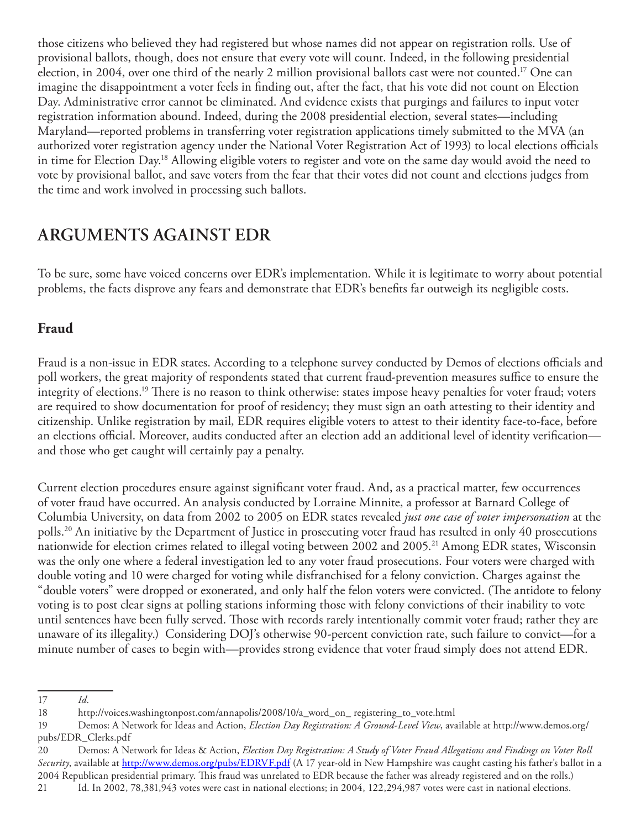those citizens who believed they had registered but whose names did not appear on registration rolls. Use of provisional ballots, though, does not ensure that every vote will count. Indeed, in the following presidential election, in 2004, over one third of the nearly 2 million provisional ballots cast were not counted.17 One can imagine the disappointment a voter feels in finding out, after the fact, that his vote did not count on Election Day. Administrative error cannot be eliminated. And evidence exists that purgings and failures to input voter registration information abound. Indeed, during the 2008 presidential election, several states—including Maryland—reported problems in transferring voter registration applications timely submitted to the MVA (an authorized voter registration agency under the National Voter Registration Act of 1993) to local elections officials in time for Election Day.18 Allowing eligible voters to register and vote on the same day would avoid the need to vote by provisional ballot, and save voters from the fear that their votes did not count and elections judges from the time and work involved in processing such ballots.

# **Arguments against EDR**

To be sure, some have voiced concerns over EDR's implementation. While it is legitimate to worry about potential problems, the facts disprove any fears and demonstrate that EDR's benefits far outweigh its negligible costs.

### **Fraud**

Fraud is a non-issue in EDR states. According to a telephone survey conducted by Demos of elections officials and poll workers, the great majority of respondents stated that current fraud-prevention measures suffice to ensure the integrity of elections.19 There is no reason to think otherwise: states impose heavy penalties for voter fraud; voters are required to show documentation for proof of residency; they must sign an oath attesting to their identity and citizenship. Unlike registration by mail, EDR requires eligible voters to attest to their identity face-to-face, before an elections official. Moreover, audits conducted after an election add an additional level of identity verification and those who get caught will certainly pay a penalty.

Current election procedures ensure against significant voter fraud. And, as a practical matter, few occurrences of voter fraud have occurred. An analysis conducted by Lorraine Minnite, a professor at Barnard College of Columbia University, on data from 2002 to 2005 on EDR states revealed *just one case of voter impersonation* at the polls.20 An initiative by the Department of Justice in prosecuting voter fraud has resulted in only 40 prosecutions nationwide for election crimes related to illegal voting between 2002 and 2005. 21 Among EDR states, Wisconsin was the only one where a federal investigation led to any voter fraud prosecutions. Four voters were charged with double voting and 10 were charged for voting while disfranchised for a felony conviction. Charges against the "double voters" were dropped or exonerated, and only half the felon voters were convicted. (The antidote to felony voting is to post clear signs at polling stations informing those with felony convictions of their inability to vote until sentences have been fully served. Those with records rarely intentionally commit voter fraud; rather they are unaware of its illegality.) Considering DOJ's otherwise 90-percent conviction rate, such failure to convict—for a minute number of cases to begin with—provides strong evidence that voter fraud simply does not attend EDR.

<sup>17</sup> *Id.*

<sup>18</sup> http://voices.washingtonpost.com/annapolis/2008/10/a\_word\_on\_ registering\_to\_vote.html

<sup>19</sup> Demos: A Network for Ideas and Action, *Election Day Registration: A Ground-Level View*, available at http://www.demos.org/ pubs/EDR\_Clerks.pdf

<sup>20</sup> Demos: A Network for Ideas & Action, *Election Day Registration: A Study of Voter Fraud Allegations and Findings on Voter Roll Security*, available at http://www.demos.org/pubs/EDRVF.pdf (A 17 year-old in New Hampshire was caught casting his father's ballot in a 2004 Republican presidential primary. This fraud was unrelated to EDR because the father was already registered and on the rolls.) 21 Id. In 2002, 78,381,943 votes were cast in national elections; in 2004, 122,294,987 votes were cast in national elections.